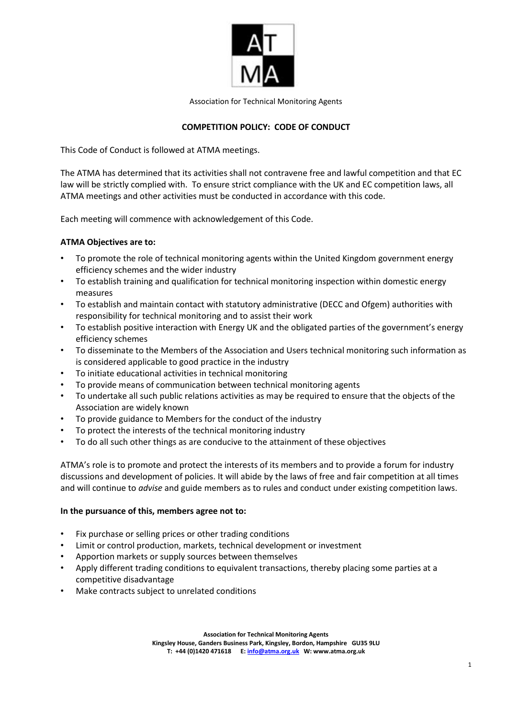

Association for Technical Monitoring Agents

# **COMPETITION POLICY: CODE OF CONDUCT**

This Code of Conduct is followed at ATMA meetings.

The ATMA has determined that its activities shall not contravene free and lawful competition and that EC law will be strictly complied with. To ensure strict compliance with the UK and EC competition laws, all ATMA meetings and other activities must be conducted in accordance with this code.

Each meeting will commence with acknowledgement of this Code.

# **ATMA Objectives are to:**

- To promote the role of technical monitoring agents within the United Kingdom government energy efficiency schemes and the wider industry
- To establish training and qualification for technical monitoring inspection within domestic energy measures
- To establish and maintain contact with statutory administrative (DECC and Ofgem) authorities with responsibility for technical monitoring and to assist their work
- To establish positive interaction with Energy UK and the obligated parties of the government's energy efficiency schemes
- To disseminate to the Members of the Association and Users technical monitoring such information as is considered applicable to good practice in the industry
- To initiate educational activities in technical monitoring
- To provide means of communication between technical monitoring agents
- To undertake all such public relations activities as may be required to ensure that the objects of the Association are widely known
- To provide guidance to Members for the conduct of the industry
- To protect the interests of the technical monitoring industry
- To do all such other things as are conducive to the attainment of these objectives

ATMA's role is to promote and protect the interests of its members and to provide a forum for industry discussions and development of policies. It will abide by the laws of free and fair competition at all times and will continue to *advise* and guide members as to rules and conduct under existing competition laws.

### **In the pursuance of this, members agree not to:**

- Fix purchase or selling prices or other trading conditions
- Limit or control production, markets, technical development or investment
- Apportion markets or supply sources between themselves
- Apply different trading conditions to equivalent transactions, thereby placing some parties at a competitive disadvantage
- Make contracts subject to unrelated conditions

**Association for Technical Monitoring Agents**

**Kingsley House, Ganders Business Park, Kingsley, Bordon, Hampshire GU35 9LU T: +44 (0)1420 471618 E: info@atma.org.uk W: www.atma.org.uk**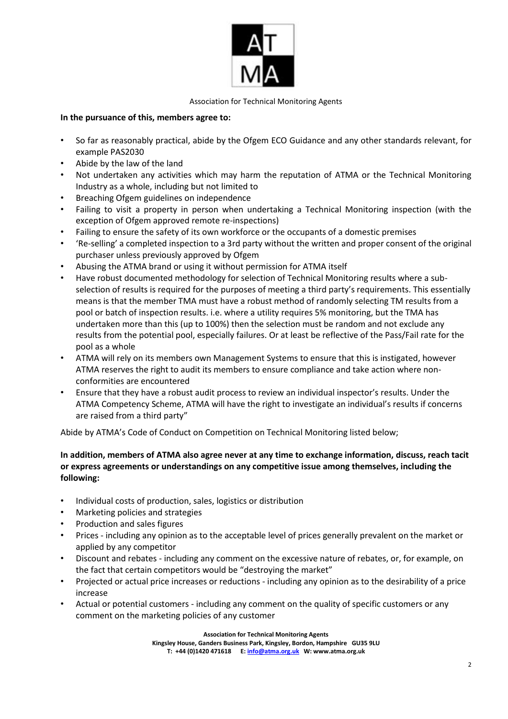

#### Association for Technical Monitoring Agents

## **In the pursuance of this, members agree to:**

- So far as reasonably practical, abide by the Ofgem ECO Guidance and any other standards relevant, for example PAS2030
- Abide by the law of the land
- Not undertaken any activities which may harm the reputation of ATMA or the Technical Monitoring Industry as a whole, including but not limited to
- Breaching Ofgem guidelines on independence
- Failing to visit a property in person when undertaking a Technical Monitoring inspection (with the exception of Ofgem approved remote re-inspections)
- Failing to ensure the safety of its own workforce or the occupants of a domestic premises
- 'Re-selling' a completed inspection to a 3rd party without the written and proper consent of the original purchaser unless previously approved by Ofgem
- Abusing the ATMA brand or using it without permission for ATMA itself
- Have robust documented methodology for selection of Technical Monitoring results where a subselection of results is required for the purposes of meeting a third party's requirements. This essentially means is that the member TMA must have a robust method of randomly selecting TM results from a pool or batch of inspection results. i.e. where a utility requires 5% monitoring, but the TMA has undertaken more than this (up to 100%) then the selection must be random and not exclude any results from the potential pool, especially failures. Or at least be reflective of the Pass/Fail rate for the pool as a whole
- ATMA will rely on its members own Management Systems to ensure that this is instigated, however ATMA reserves the right to audit its members to ensure compliance and take action where nonconformities are encountered
- Ensure that they have a robust audit process to review an individual inspector's results. Under the ATMA Competency Scheme, ATMA will have the right to investigate an individual's results if concerns are raised from a third party"

Abide by ATMA's Code of Conduct on Competition on Technical Monitoring listed below;

## **In addition, members of ATMA also agree never at any time to exchange information, discuss, reach tacit or express agreements or understandings on any competitive issue among themselves, including the following:**

- Individual costs of production, sales, logistics or distribution
- Marketing policies and strategies
- Production and sales figures
- Prices including any opinion as to the acceptable level of prices generally prevalent on the market or applied by any competitor
- Discount and rebates including any comment on the excessive nature of rebates, or, for example, on the fact that certain competitors would be "destroying the market"
- Projected or actual price increases or reductions including any opinion as to the desirability of a price increase
- Actual or potential customers including any comment on the quality of specific customers or any comment on the marketing policies of any customer

**Association for Technical Monitoring Agents**

**Kingsley House, Ganders Business Park, Kingsley, Bordon, Hampshire GU35 9LU T: +44 (0)1420 471618 E: info@atma.org.uk W: www.atma.org.uk**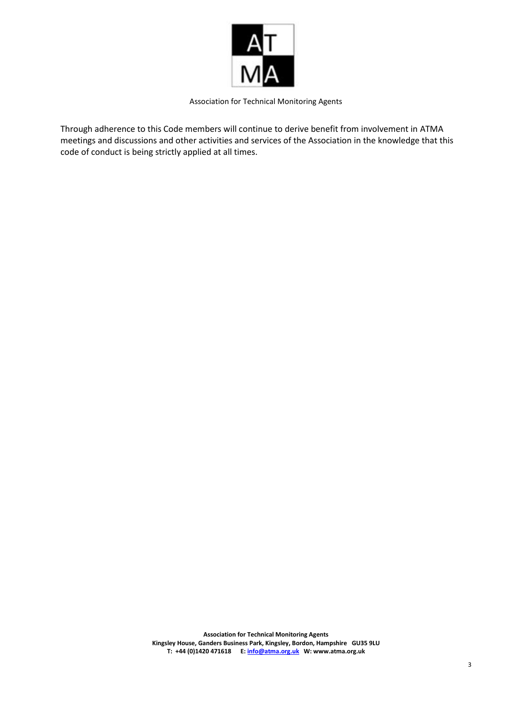

Association for Technical Monitoring Agents

Through adherence to this Code members will continue to derive benefit from involvement in ATMA meetings and discussions and other activities and services of the Association in the knowledge that this code of conduct is being strictly applied at all times.

> **Association for Technical Monitoring Agents Kingsley House, Ganders Business Park, Kingsley, Bordon, Hampshire GU35 9LU T: +44 (0)1420 471618 E: info@atma.org.uk W: www.atma.org.uk**